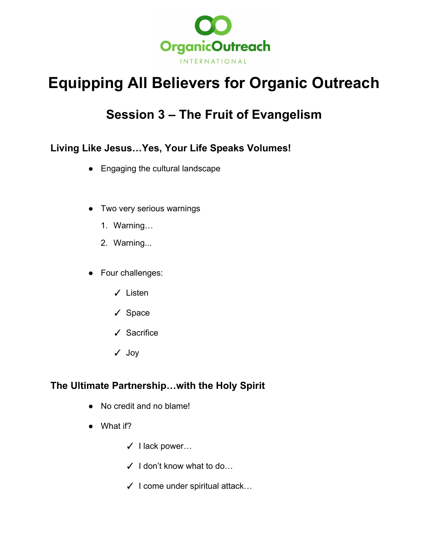

# **Equipping All Believers for Organic Outreach**

# **Session 3 – The Fruit of Evangelism**

## **Living Like Jesus…Yes, Your Life Speaks Volumes!**

- Engaging the cultural landscape
- Two very serious warnings
	- 1. Warning…
	- 2. Warning...
- Four challenges:
	- ✓ Listen
	- ✓ Space
	- ✓ Sacrifice
	- ✓ Joy

#### **The Ultimate Partnership…with the Holy Spirit**

- No credit and no blame!
- What if?
	- ✓ I lack power…
	- ✓ I don't know what to do…
	- $\checkmark$  I come under spiritual attack...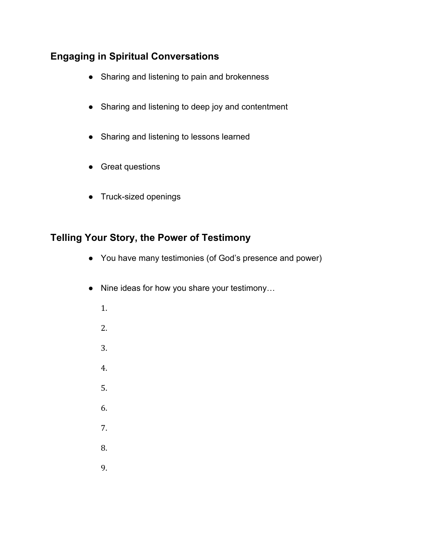### **Engaging in Spiritual Conversations**

- Sharing and listening to pain and brokenness
- Sharing and listening to deep joy and contentment
- Sharing and listening to lessons learned
- Great questions
- Truck-sized openings

#### **Telling Your Story, the Power of Testimony**

- You have many testimonies (of God's presence and power)
- Nine ideas for how you share your testimony…
	- 1. 2. 3. 4. 5. 6. 7. 8.
	- 9.